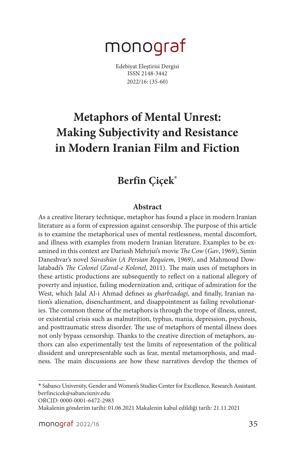# monograf

Edebiyat Eleştirisi Dergisi ISSN 2148-3442 2022/16: (35-60)

## **Metaphors of Mental Unrest: Making Subjectivity and Resistance in Modern Iranian Film and Fiction**

### **Berfin Çiçek\***

#### **Abstract**

As a creative literary technique, metaphor has found a place in modern Iranian literature as a form of expression against censorship. The purpose of this article is to examine the metaphorical uses of mental restlessness, mental discomfort, and illness with examples from modern Iranian literature. Examples to be examined in this context are Dariush Mehrjui's movie *The Cow* (*Gav*, 1969), Simin Daneshvar's novel *Sūvashūn* (*A Persian Requiem*, 1969), and Mahmoud Dowlatabadi's *The Colonel* (*Zaval-e Kolonel*, 2011). The main uses of metaphors in these artistic productions are subsequently to reflect on a national allegory of poverty and injustice, failing modernization and, critique of admiration for the West, which Jalal Al-i Ahmad defines as *gharbzadagi*, and finally, Iranian nation's alienation, disenchantment, and disappointment as failing revolutionaries. The common theme of the metaphors is through the trope of illness, unrest, or existential crisis such as malnutrition, typhus, mania, depression, psychosis, and posttraumatic stress disorder. The use of metaphors of mental illness does not only bypass censorship. Thanks to the creative direction of metaphors, authors can also experimentally test the limits of representation of the political dissident and unrepresentable such as fear, mental metamorphosis, and madness. The main discussions are how these narratives develop the themes of

<sup>\*</sup> Sabancı University, Gender and Women's Studies Center for Excellence, Research Assistant. berfincicek@sabanciuniv.edu

ORCID: 0000-0001-6472-2983

Makalenin gönderim tarihi: 01.06.2021 Makalenin kabul edildiği tarih: 21.11.2021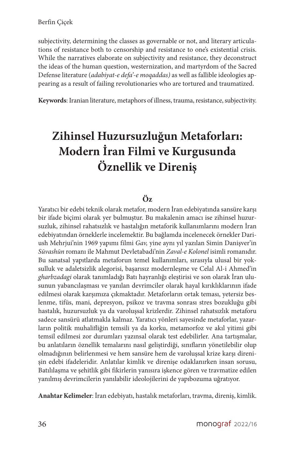subjectivity, determining the classes as governable or not, and literary articulations of resistance both to censorship and resistance to one's existential crisis. While the narratives elaborate on subjectivity and resistance, they deconstruct the ideas of the human question, westernization, and martyrdom of the Sacred Defense literature (*adabiyat-e defa'-e moqaddas)* as well as fallible ideologies appearing as a result of failing revolutionaries who are tortured and traumatized.

**Keywords**: Iranian literature, metaphors of illness, trauma, resistance, subjectivity.

## **Zihinsel Huzursuzluğun Metaforları: Modern İran Filmi ve Kurgusunda Öznellik ve Direniş**

#### **Öz**

Yaratıcı bir edebi teknik olarak metafor, modern İran edebiyatında sansüre karşı bir ifade biçimi olarak yer bulmuştur. Bu makalenin amacı ise zihinsel huzursuzluk, zihinsel rahatsızlık ve hastalığın metaforik kullanımlarını modern İran edebiyatından örneklerle incelemektir. Bu bağlamda incelenecek örnekler Dariush Mehrjui'nin 1969 yapımı filmi *Gav,* yine aynı yıl yazılan Simin Danişver'in *Sūvashūn* romanı ile Mahmut Devletabadi'nin *Zaval-e Kolonel* isimli romanıdır. Bu sanatsal yapıtlarda metaforun temel kullanımları, sırasıyla ulusal bir yoksulluk ve adaletsizlik alegorisi, başarısız modernleşme ve Celal Al-i Ahmed'in *gharbzadagi* olarak tanımladığı Batı hayranlığı eleştirisi ve son olarak İran ulusunun yabancılaşması ve yanılan devrimciler olarak hayal kırıklıklarının ifade edilmesi olarak karşımıza çıkmaktadır. Metaforların ortak teması, yetersiz beslenme, tifüs, mani, depresyon, psikoz ve travma sonrası stres bozukluğu gibi hastalık, huzursuzluk ya da varoluşsal krizlerdir. Zihinsel rahatsızlık metaforu sadece sansürü atlatmakla kalmaz. Yaratıcı yönleri sayesinde metaforlar, yazarların politik muhalifliğin temsili ya da korku, metamorfoz ve akıl yitimi gibi temsil edilmesi zor durumları yazınsal olarak test edebilirler. Ana tartışmalar, bu anlatıların öznellik temalarını nasıl geliştirdiği, sınıfların yönetilebilir olup olmadığının belirlenmesi ve hem sansüre hem de varoluşsal krize karşı direnişin edebi ifadeleridir. Anlatılar kimlik ve direnişe odaklanırken insan sorusu, Batılılaşma ve şehitlik gibi fikirlerin yanısıra işkence gören ve travmatize edilen yanılmış devrimcilerin yanılabilir ideolojilerini de yapıbozuma uğratıyor.

**Anahtar Kelimeler**: İran edebiyatı, hastalık metaforları, travma, direniş, kimlik.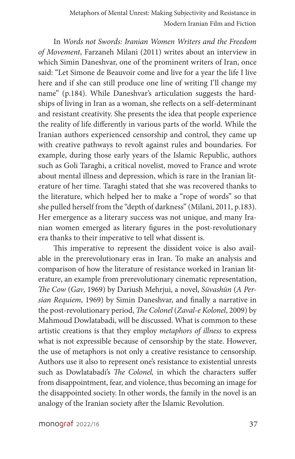In *Words not Swords: Iranian Women Writers and the Freedom of Movement*, Farzaneh Milani (2011) writes about an interview in which Simin Daneshvar, one of the prominent writers of Iran, once said: "Let Simone de Beauvoir come and live for a year the life I live here and if she can still produce one line of writing I'll change my name" (p.184). While Daneshvar's articulation suggests the hardships of living in Iran as a woman, she reflects on a self-determinant and resistant creativity. She presents the idea that people experience the reality of life differently in various parts of the world. While the Iranian authors experienced censorship and control, they came up with creative pathways to revolt against rules and boundaries. For example, during those early years of the Islamic Republic, authors such as Goli Taraghi, a critical novelist, moved to France and wrote about mental illness and depression, which is rare in the Iranian literature of her time. Taraghi stated that she was recovered thanks to the literature, which helped her to make a "rope of words" so that she pulled herself from the "depth of darkness" (Milani, 2011, p.183). Her emergence as a literary success was not unique, and many Iranian women emerged as literary figures in the post-revolutionary era thanks to their imperative to tell what dissent is.

This imperative to represent the dissident voice is also available in the prerevolutionary eras in Iran. To make an analysis and comparison of how the literature of resistance worked in Iranian literature, an example from prerevolutionary cinematic representation, *The Cow* (*Gav*, 1969) by Dariush Mehrjui, a novel, *Sūvashūn* (*A Persian Requiem*, 1969) by Simin Daneshvar, and finally a narrative in the post-revolutionary period, *The Colonel* (*Zaval-e Kolonel*, 2009) by Mahmoud Dowlatabadi, will be discussed. What is common to these artistic creations is that they employ *metaphors of illness* to express what is not expressible because of censorship by the state. However, the use of metaphors is not only a creative resistance to censorship. Authors use it also to represent one's resistance to existential unrests such as Dowlatabadi's *The Colonel,* in which the characters suffer from disappointment, fear, and violence, thus becoming an image for the disappointed society. In other words, the family in the novel is an analogy of the Iranian society after the Islamic Revolution.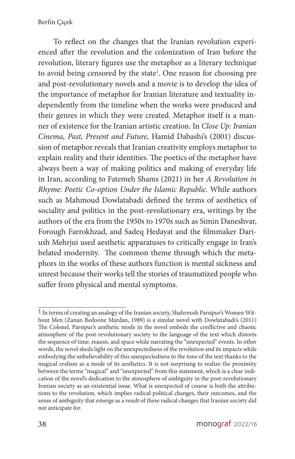To reflect on the changes that the Iranian revolution experienced after the revolution and the colonization of Iran before the revolution, literary figures use the metaphor as a literary technique to avoid being censored by the state<sup>1</sup>. One reason for choosing pre and post-revolutionary novels and a movie is to develop the idea of the importance of metaphor for Iranian literature and textuality independently from the timeline when the works were produced and their genres in which they were created. Metaphor itself is a manner of existence for the Iranian artistic creation. In *Close Up: Iranian Cinema, Past, Present and Future,* Hamid Dabashi's (2001) discussion of metaphor reveals that Iranian creativity employs metaphor to explain reality and their identities. The poetics of the metaphor have always been a way of making politics and making of everyday life in Iran, according to Fatemeh Shams (2021) in her *A Revolution in Rhyme: Poetic Co-option Under the Islamic Republic.* While authors such as Mahmoud Dowlatabadi defined the terms of aesthetics of sociality and politics in the post-revolutionary era, writings by the authors of the era from the 1950s to 1970s such as Simin Daneshvar, Forough Farrokhzad, and Sadeq Hedayat and the filmmaker Dariush Mehrjui used aesthetic apparatuses to critically engage in Iran's belated modernity. The common theme through which the metaphors in the works of these authors function is mental sickness and unrest because their works tell the stories of traumatized people who suffer from physical and mental symptoms.

<sup>1</sup> In terms of creating an analogy of the Iranian society, Shahrnush Parsipur's Women Without Men (Zanan Bedoone Mardan, 1989) is a similar novel with Dowlatabadi's (2011) The Colonel. Parsipur's aesthetic mode in the novel embeds the conflictive and chaotic atmosphere of the post-revolutionary society to the language of the text which distorts the sequence of time, reason, and space while narrating the "unexpected" events. In other words, the novel sheds light on the unexpectedness of the revolution and its impacts while embodying the unbelievability of this unexpectedness to the tone of the text thanks to the magical realism as a mode of its aesthetics. It is not surprising to realize the proximity between the terms "magical" and "unexpected" from this statement, which is a clear indication of the novel's dedication to the atmosphere of ambiguity in the post-revolutionary Iranian society as an existential issue. What is unexpected of course is both the attributions to the revolution, which implies radical political changes, their outcomes, and the sense of ambiguity that emerge as a result of these radical changes that Iranian society did not anticipate for.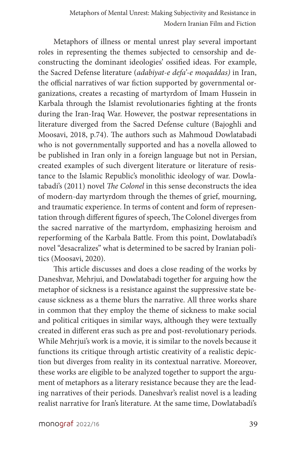Metaphors of illness or mental unrest play several important roles in representing the themes subjected to censorship and deconstructing the dominant ideologies' ossified ideas. For example, the Sacred Defense literature (*adabiyat-e defa'-e moqaddas)* in Iran, the official narratives of war fiction supported by governmental organizations, creates a recasting of martyrdom of Imam Hussein in Karbala through the Islamist revolutionaries fighting at the fronts during the Iran-Iraq War. However, the postwar representations in literature diverged from the Sacred Defense culture (Bajoghli and Moosavi, 2018, p.74). The authors such as Mahmoud Dowlatabadi who is not governmentally supported and has a novella allowed to be published in Iran only in a foreign language but not in Persian, created examples of such divergent literature or literature of resistance to the Islamic Republic's monolithic ideology of war. Dowlatabadi's (2011) novel *The Colonel* in this sense deconstructs the idea of modern-day martyrdom through the themes of grief, mourning, and traumatic experience. In terms of content and form of representation through different figures of speech, The Colonel diverges from the sacred narrative of the martyrdom, emphasizing heroism and reperforming of the Karbala Battle. From this point, Dowlatabadi's novel "desacralizes" what is determined to be sacred by Iranian politics (Moosavi, 2020).

This article discusses and does a close reading of the works by Daneshvar, Mehrjui, and Dowlatabadi together for arguing how the metaphor of sickness is a resistance against the suppressive state because sickness as a theme blurs the narrative. All three works share in common that they employ the theme of sickness to make social and political critiques in similar ways, although they were textually created in different eras such as pre and post-revolutionary periods. While Mehrjui's work is a movie, it is similar to the novels because it functions its critique through artistic creativity of a realistic depiction but diverges from reality in its contextual narrative. Moreover, these works are eligible to be analyzed together to support the argument of metaphors as a literary resistance because they are the leading narratives of their periods. Daneshvar's realist novel is a leading realist narrative for Iran's literature. At the same time, Dowlatabadi's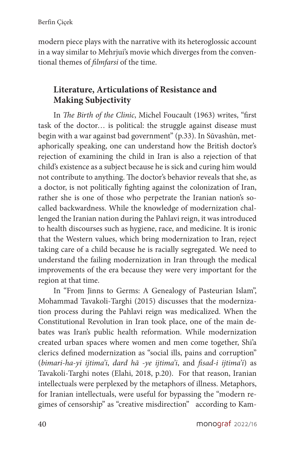modern piece plays with the narrative with its heteroglossic account in a way similar to Mehrjui's movie which diverges from the conventional themes of *filmfarsi* of the time.

### **Literature, Articulations of Resistance and Making Subjectivity**

In *The Birth of the Clinic*, Michel Foucault (1963) writes, "first task of the doctor… is political: the struggle against disease must begin with a war against bad government" (p.33). In Sūvashūn, metaphorically speaking, one can understand how the British doctor's rejection of examining the child in Iran is also a rejection of that child's existence as a subject because he is sick and curing him would not contribute to anything. The doctor's behavior reveals that she, as a doctor, is not politically fighting against the colonization of Iran, rather she is one of those who perpetrate the Iranian nation's socalled backwardness. While the knowledge of modernization challenged the Iranian nation during the Pahlavi reign, it was introduced to health discourses such as hygiene, race, and medicine. It is ironic that the Western values, which bring modernization to Iran, reject taking care of a child because he is racially segregated. We need to understand the failing modernization in Iran through the medical improvements of the era because they were very important for the region at that time.

In "From Jinns to Germs: A Genealogy of Pasteurian Islam", Mohammad Tavakoli-Targhi (2015) discusses that the modernization process during the Pahlavi reign was medicalized. When the Constitutional Revolution in Iran took place, one of the main debates was Iran's public health reformation. While modernization created urban spaces where women and men come together, Shi'a clerics defined modernization as "social ills, pains and corruption" (*bimari-ha-yi ijtima'i*, *dard hā -ye ijtima'i*, and *fisad-i ijtima'i*) as Tavakoli-Targhi notes (Elahi, 2018, p.20). For that reason, Iranian intellectuals were perplexed by the metaphors of illness. Metaphors, for Iranian intellectuals, were useful for bypassing the "modern regimes of censorship" as "creative misdirection" according to Kam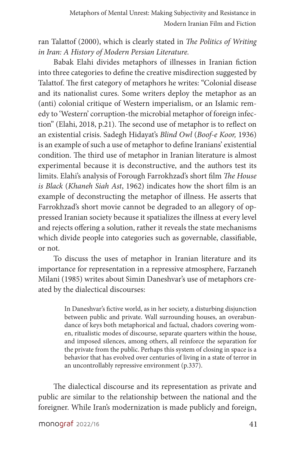ran Talattof (2000), which is clearly stated in *The Politics of Writing in Iran: A History of Modern Persian Literature.* 

Babak Elahi divides metaphors of illnesses in Iranian fiction into three categories to define the creative misdirection suggested by Talattof. The first category of metaphors he writes: "Colonial disease and its nationalist cures. Some writers deploy the metaphor as an (anti) colonial critique of Western imperialism, or an Islamic remedy to 'Western' corruption-the microbial metaphor of foreign infection" (Elahi, 2018, p.21). The second use of metaphor is to reflect on an existential crisis. Sadegh Hidayat's *Blind Owl* (*Boof-e Koor,* 1936) is an example of such a use of metaphor to define Iranians' existential condition. The third use of metaphor in Iranian literature is almost experimental because it is deconstructive, and the authors test its limits. Elahi's analysis of Forough Farrokhzad's short film *The House is Black* (*Khaneh Siah Ast*, 1962) indicates how the short film is an example of deconstructing the metaphor of illness. He asserts that Farrokhzad's short movie cannot be degraded to an allegory of oppressed Iranian society because it spatializes the illness at every level and rejects offering a solution, rather it reveals the state mechanisms which divide people into categories such as governable, classifiable, or not.

To discuss the uses of metaphor in Iranian literature and its importance for representation in a repressive atmosphere, Farzaneh Milani (1985) writes about Simin Daneshvar's use of metaphors created by the dialectical discourses:

> In Daneshvar's fictive world, as in her society, a disturbing disjunction between public and private. Wall surrounding houses, an overabundance of keys both metaphorical and factual, chadors covering women, ritualistic modes of discourse, separate quarters within the house, and imposed silences, among others, all reinforce the separation for the private from the public. Perhaps this system of closing in space is a behavior that has evolved over centuries of living in a state of terror in an uncontrollably repressive environment (p.337).

The dialectical discourse and its representation as private and public are similar to the relationship between the national and the foreigner. While Iran's modernization is made publicly and foreign,

monograf 2022/16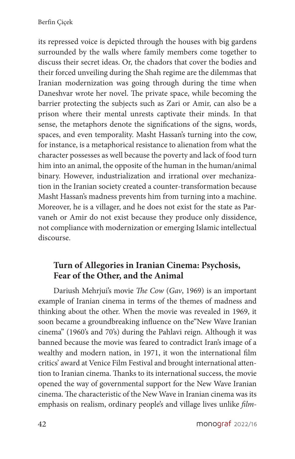its repressed voice is depicted through the houses with big gardens surrounded by the walls where family members come together to discuss their secret ideas. Or, the chadors that cover the bodies and their forced unveiling during the Shah regime are the dilemmas that Iranian modernization was going through during the time when Daneshvar wrote her novel. The private space, while becoming the barrier protecting the subjects such as Zari or Amir, can also be a prison where their mental unrests captivate their minds. In that sense, the metaphors denote the significations of the signs, words, spaces, and even temporality. Masht Hassan's turning into the cow, for instance, is a metaphorical resistance to alienation from what the character possesses as well because the poverty and lack of food turn him into an animal, the opposite of the human in the human/animal binary. However, industrialization and irrational over mechanization in the Iranian society created a counter-transformation because Masht Hassan's madness prevents him from turning into a machine. Moreover, he is a villager, and he does not exist for the state as Parvaneh or Amir do not exist because they produce only dissidence, not compliance with modernization or emerging Islamic intellectual discourse.

#### **Turn of Allegories in Iranian Cinema: Psychosis, Fear of the Other, and the Animal**

Dariush Mehrjui's movie *The Cow* (*Gav*, 1969) is an important example of Iranian cinema in terms of the themes of madness and thinking about the other. When the movie was revealed in 1969, it soon became a groundbreaking influence on the"New Wave Iranian cinema" (1960's and 70's) during the Pahlavi reign. Although it was banned because the movie was feared to contradict Iran's image of a wealthy and modern nation, in 1971, it won the international film critics' award at Venice Film Festival and brought international attention to Iranian cinema. Thanks to its international success, the movie opened the way of governmental support for the New Wave Iranian cinema. The characteristic of the New Wave in Iranian cinema was its emphasis on realism, ordinary people's and village lives unlike *film-*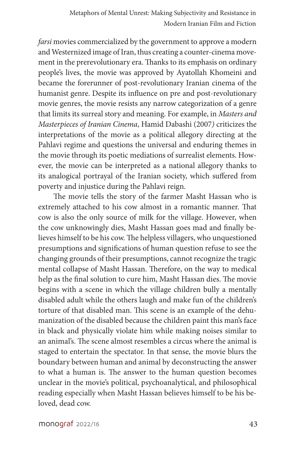*farsi* movies commercialized by the government to approve a modern and Westernized image of Iran, thus creating a counter-cinema movement in the prerevolutionary era. Thanks to its emphasis on ordinary people's lives, the movie was approved by Ayatollah Khomeini and became the forerunner of post-revolutionary Iranian cinema of the humanist genre. Despite its influence on pre and post-revolutionary movie genres, the movie resists any narrow categorization of a genre that limits its surreal story and meaning. For example, in *Masters and Masterpieces of Iranian Cinema*, Hamid Dabashi (2007*)* criticizes the interpretations of the movie as a political allegory directing at the Pahlavi regime and questions the universal and enduring themes in the movie through its poetic mediations of surrealist elements. However, the movie can be interpreted as a national allegory thanks to its analogical portrayal of the Iranian society, which suffered from poverty and injustice during the Pahlavi reign.

The movie tells the story of the farmer Masht Hassan who is extremely attached to his cow almost in a romantic manner. That cow is also the only source of milk for the village. However, when the cow unknowingly dies, Masht Hassan goes mad and finally believes himself to be his cow. The helpless villagers, who unquestioned presumptions and significations of human question refuse to see the changing grounds of their presumptions, cannot recognize the tragic mental collapse of Masht Hassan. Therefore, on the way to medical help as the final solution to cure him, Masht Hassan dies. The movie begins with a scene in which the village children bully a mentally disabled adult while the others laugh and make fun of the children's torture of that disabled man. This scene is an example of the dehumanization of the disabled because the children paint this man's face in black and physically violate him while making noises similar to an animal's. The scene almost resembles a circus where the animal is staged to entertain the spectator. In that sense, the movie blurs the boundary between human and animal by deconstructing the answer to what a human is. The answer to the human question becomes unclear in the movie's political, psychoanalytical, and philosophical reading especially when Masht Hassan believes himself to be his beloved, dead cow.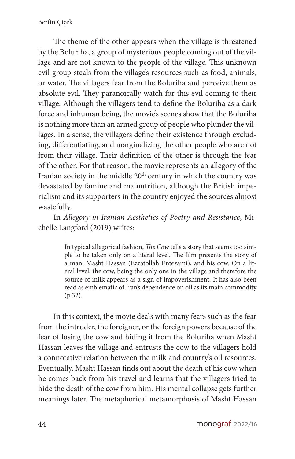The theme of the other appears when the village is threatened by the Boluriha, a group of mysterious people coming out of the village and are not known to the people of the village. This unknown evil group steals from the village's resources such as food, animals, or water. The villagers fear from the Boluriha and perceive them as absolute evil. They paranoically watch for this evil coming to their village. Although the villagers tend to define the Boluriha as a dark force and inhuman being, the movie's scenes show that the Boluriha is nothing more than an armed group of people who plunder the villages. In a sense, the villagers define their existence through excluding, differentiating, and marginalizing the other people who are not from their village. Their definition of the other is through the fear of the other. For that reason, the movie represents an allegory of the Iranian society in the middle  $20<sup>th</sup>$  century in which the country was devastated by famine and malnutrition, although the British imperialism and its supporters in the country enjoyed the sources almost wastefully.

In *Allegory in Iranian Aesthetics of Poetry and Resistance*, Michelle Langford (2019) writes:

> In typical allegorical fashion, *The Cow* tells a story that seems too simple to be taken only on a literal level. The film presents the story of a man, Masht Hassan (Ezzatollah Entezami), and his cow. On a literal level, the cow, being the only one in the village and therefore the source of milk appears as a sign of impoverishment. It has also been read as emblematic of Iran's dependence on oil as its main commodity (p.32).

In this context, the movie deals with many fears such as the fear from the intruder, the foreigner, or the foreign powers because of the fear of losing the cow and hiding it from the Boluriha when Masht Hassan leaves the village and entrusts the cow to the villagers hold a connotative relation between the milk and country's oil resources. Eventually, Masht Hassan finds out about the death of his cow when he comes back from his travel and learns that the villagers tried to hide the death of the cow from him. His mental collapse gets further meanings later. The metaphorical metamorphosis of Masht Hassan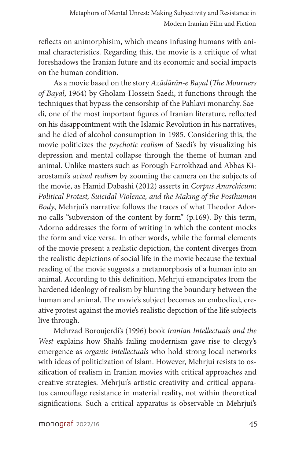reflects on animorphisim, which means infusing humans with animal characteristics. Regarding this, the movie is a critique of what foreshadows the Iranian future and its economic and social impacts on the human condition.

As a movie based on the story *Azādārān-e Bayal* (*The Mourners of Bayal*, 1964) by Gholam-Hossein Saedi, it functions through the techniques that bypass the censorship of the Pahlavi monarchy. Saedi, one of the most important figures of Iranian literature, reflected on his disappointment with the Islamic Revolution in his narratives, and he died of alcohol consumption in 1985. Considering this, the movie politicizes the *psychotic realism* of Saedi's by visualizing his depression and mental collapse through the theme of human and animal. Unlike masters such as Forough Farrokhzad and Abbas Kiarostami's *actual realism* by zooming the camera on the subjects of the movie, as Hamid Dabashi (2012) asserts in *Corpus Anarchicum: Political Protest, Suicidal Violence, and the Making of the Posthuman Body*, Mehrjui's narrative follows the traces of what Theodor Adorno calls "subversion of the content by form" (p.169). By this term, Adorno addresses the form of writing in which the content mocks the form and vice versa. In other words, while the formal elements of the movie present a realistic depiction, the content diverges from the realistic depictions of social life in the movie because the textual reading of the movie suggests a metamorphosis of a human into an animal. According to this definition, Mehrjui emancipates from the hardened ideology of realism by blurring the boundary between the human and animal. The movie's subject becomes an embodied, creative protest against the movie's realistic depiction of the life subjects live through.

Mehrzad Boroujerdi's (1996) book *Iranian Intellectuals and the West* explains how Shah's failing modernism gave rise to clergy's emergence as *organic intellectuals* who hold strong local networks with ideas of politicization of Islam. However, Mehrjui resists to ossification of realism in Iranian movies with critical approaches and creative strategies. Mehrjui's artistic creativity and critical apparatus camouflage resistance in material reality, not within theoretical significations. Such a critical apparatus is observable in Mehrjui's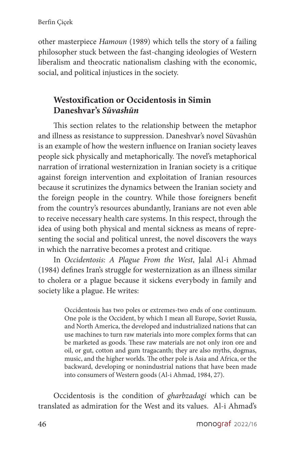other masterpiece *Hamoun* (1989) which tells the story of a failing philosopher stuck between the fast-changing ideologies of Western liberalism and theocratic nationalism clashing with the economic, social, and political injustices in the society.

#### **Westoxification or Occidentosis in Simin Daneshvar's** *Sūvashūn*

This section relates to the relationship between the metaphor and illness as resistance to suppression. Daneshvar's novel Sūvashūn is an example of how the western influence on Iranian society leaves people sick physically and metaphorically. The novel's metaphorical narration of irrational westernization in Iranian society is a critique against foreign intervention and exploitation of Iranian resources because it scrutinizes the dynamics between the Iranian society and the foreign people in the country. While those foreigners benefit from the country's resources abundantly, Iranians are not even able to receive necessary health care systems. In this respect, through the idea of using both physical and mental sickness as means of representing the social and political unrest, the novel discovers the ways in which the narrative becomes a protest and critique.

In *Occidentosis: A Plague From the West*, Jalal Al-i Ahmad (1984) defines Iran's struggle for westernization as an illness similar to cholera or a plague because it sickens everybody in family and society like a plague. He writes:

> Occidentosis has two poles or extremes-two ends of one continuum. One pole is the Occident, by which I mean all Europe, Soviet Russia, and North America, the developed and industrialized nations that can use machines to turn raw materials into more complex forms that can be marketed as goods. These raw materials are not only iron ore and oil, or gut, cotton and gum tragacanth; they are also myths, dogmas, music, and the higher worlds. The other pole is Asia and Africa, or the backward, developing or nonindustrial nations that have been made into consumers of Western goods (Al-i Ahmad, 1984, 27).

Occidentosis is the condition of *gharbzadagi* which can be translated as admiration for the West and its values. Al-i Ahmad's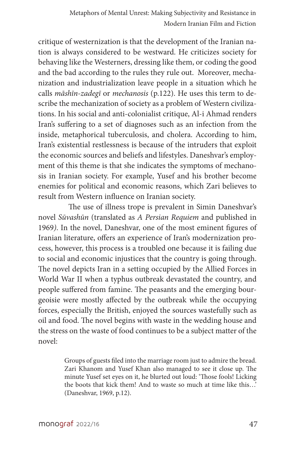critique of westernization is that the development of the Iranian nation is always considered to be westward. He criticizes society for behaving like the Westerners, dressing like them, or coding the good and the bad according to the rules they rule out. Moreover, mechanization and industrialization leave people in a situation which he calls *māshīn-zadegī* or *mechanosis* (p.122). He uses this term to describe the mechanization of society as a problem of Western civilizations. In his social and anti-colonialist critique, Al-i Ahmad renders Iran's suffering to a set of diagnoses such as an infection from the inside, metaphorical tuberculosis, and cholera. According to him, Iran's existential restlessness is because of the intruders that exploit the economic sources and beliefs and lifestyles. Daneshvar's employment of this theme is that she indicates the symptoms of mechanosis in Iranian society. For example, Yusef and his brother become enemies for political and economic reasons, which Zari believes to result from Western influence on Iranian society.

 The use of illness trope is prevalent in Simin Daneshvar's novel *Sūvashūn* (translated as *A Persian Requiem* and published in 1969*)*. In the novel, Daneshvar, one of the most eminent figures of Iranian literature, offers an experience of Iran's modernization process, however, this process is a troubled one because it is failing due to social and economic injustices that the country is going through. The novel depicts Iran in a setting occupied by the Allied Forces in World War II when a typhus outbreak devastated the country, and people suffered from famine. The peasants and the emerging bourgeoisie were mostly affected by the outbreak while the occupying forces, especially the British, enjoyed the sources wastefully such as oil and food. The novel begins with waste in the wedding house and the stress on the waste of food continues to be a subject matter of the novel:

> Groups of guests filed into the marriage room just to admire the bread. Zari Khanom and Yusef Khan also managed to see it close up. The minute Yusef set eyes on it, he blurted out loud: 'Those fools! Licking the boots that kick them! And to waste so much at time like this…' (Daneshvar, 1969, p.12).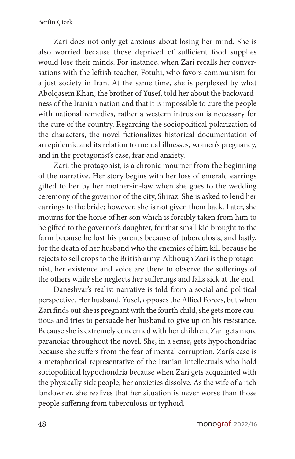Zari does not only get anxious about losing her mind. She is also worried because those deprived of sufficient food supplies would lose their minds. For instance, when Zari recalls her conversations with the leftish teacher, Fotuhi, who favors communism for a just society in Iran. At the same time, she is perplexed by what Abolqasem Khan, the brother of Yusef, told her about the backwardness of the Iranian nation and that it is impossible to cure the people with national remedies, rather a western intrusion is necessary for the cure of the country. Regarding the sociopolitical polarization of the characters, the novel fictionalizes historical documentation of an epidemic and its relation to mental illnesses, women's pregnancy, and in the protagonist's case, fear and anxiety.

Zari, the protagonist, is a chronic mourner from the beginning of the narrative. Her story begins with her loss of emerald earrings gifted to her by her mother-in-law when she goes to the wedding ceremony of the governor of the city, Shiraz. She is asked to lend her earrings to the bride; however, she is not given them back. Later, she mourns for the horse of her son which is forcibly taken from him to be gifted to the governor's daughter, for that small kid brought to the farm because he lost his parents because of tuberculosis, and lastly, for the death of her husband who the enemies of him kill because he rejects to sell crops to the British army. Although Zari is the protagonist, her existence and voice are there to observe the sufferings of the others while she neglects her sufferings and falls sick at the end.

Daneshvar's realist narrative is told from a social and political perspective. Her husband, Yusef, opposes the Allied Forces, but when Zari finds out she is pregnant with the fourth child, she gets more cautious and tries to persuade her husband to give up on his resistance. Because she is extremely concerned with her children, Zari gets more paranoiac throughout the novel. She, in a sense, gets hypochondriac because she suffers from the fear of mental corruption. Zari's case is a metaphorical representative of the Iranian intellectuals who hold sociopolitical hypochondria because when Zari gets acquainted with the physically sick people, her anxieties dissolve. As the wife of a rich landowner, she realizes that her situation is never worse than those people suffering from tuberculosis or typhoid.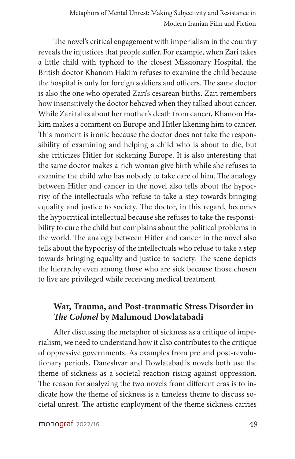The novel's critical engagement with imperialism in the country reveals the injustices that people suffer. For example, when Zari takes a little child with typhoid to the closest Missionary Hospital, the British doctor Khanom Hakim refuses to examine the child because the hospital is only for foreign soldiers and officers. The same doctor is also the one who operated Zari's cesarean births. Zari remembers how insensitively the doctor behaved when they talked about cancer. While Zari talks about her mother's death from cancer, Khanom Hakim makes a comment on Europe and Hitler likening him to cancer. This moment is ironic because the doctor does not take the responsibility of examining and helping a child who is about to die, but she criticizes Hitler for sickening Europe. It is also interesting that the same doctor makes a rich woman give birth while she refuses to examine the child who has nobody to take care of him. The analogy between Hitler and cancer in the novel also tells about the hypocrisy of the intellectuals who refuse to take a step towards bringing equality and justice to society. The doctor, in this regard, becomes the hypocritical intellectual because she refuses to take the responsibility to cure the child but complains about the political problems in the world. The analogy between Hitler and cancer in the novel also tells about the hypocrisy of the intellectuals who refuse to take a step towards bringing equality and justice to society. The scene depicts the hierarchy even among those who are sick because those chosen to live are privileged while receiving medical treatment.

#### **War, Trauma, and Post-traumatic Stress Disorder in**  *The Colonel* **by Mahmoud Dowlatabadi**

After discussing the metaphor of sickness as a critique of imperialism, we need to understand how it also contributes to the critique of oppressive governments. As examples from pre and post-revolutionary periods, Daneshvar and Dowlatabadi's novels both use the theme of sickness as a societal reaction rising against oppression. The reason for analyzing the two novels from different eras is to indicate how the theme of sickness is a timeless theme to discuss societal unrest. The artistic employment of the theme sickness carries

monograf 2022/16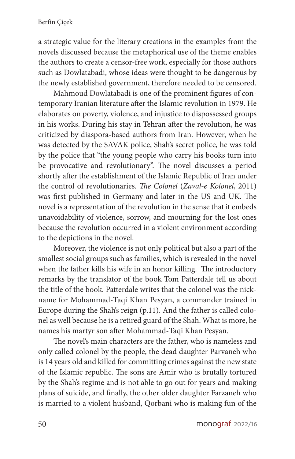a strategic value for the literary creations in the examples from the novels discussed because the metaphorical use of the theme enables the authors to create a censor-free work, especially for those authors such as Dowlatabadi, whose ideas were thought to be dangerous by the newly established government, therefore needed to be censored.

Mahmoud Dowlatabadi is one of the prominent figures of contemporary Iranian literature after the Islamic revolution in 1979. He elaborates on poverty, violence, and injustice to dispossessed groups in his works. During his stay in Tehran after the revolution, he was criticized by diaspora-based authors from Iran. However, when he was detected by the SAVAK police, Shah's secret police, he was told by the police that "the young people who carry his books turn into be provocative and revolutionary". The novel discusses a period shortly after the establishment of the Islamic Republic of Iran under the control of revolutionaries. *The Colonel* (*Zaval-e Kolonel*, 2011) was first published in Germany and later in the US and UK. The novel is a representation of the revolution in the sense that it embeds unavoidability of violence, sorrow, and mourning for the lost ones because the revolution occurred in a violent environment according to the depictions in the novel.

Moreover, the violence is not only political but also a part of the smallest social groups such as families, which is revealed in the novel when the father kills his wife in an honor killing. The introductory remarks by the translator of the book Tom Patterdale tell us about the title of the book. Patterdale writes that the colonel was the nickname for Mohammad-Taqi Khan Pesyan, a commander trained in Europe during the Shah's reign (p.11). And the father is called colonel as well because he is a retired guard of the Shah. What is more, he names his martyr son after Mohammad-Taqi Khan Pesyan.

The novel's main characters are the father, who is nameless and only called colonel by the people, the dead daughter Parvaneh who is 14 years old and killed for committing crimes against the new state of the Islamic republic. The sons are Amir who is brutally tortured by the Shah's regime and is not able to go out for years and making plans of suicide, and finally, the other older daughter Farzaneh who is married to a violent husband, Qorbani who is making fun of the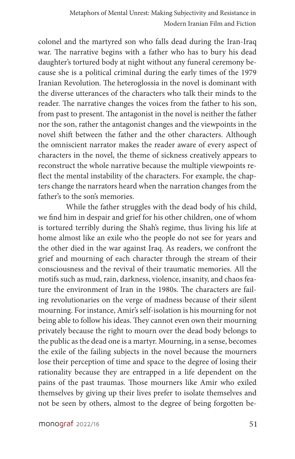colonel and the martyred son who falls dead during the Iran-Iraq war. The narrative begins with a father who has to bury his dead daughter's tortured body at night without any funeral ceremony because she is a political criminal during the early times of the 1979 Iranian Revolution. The heteroglossia in the novel is dominant with the diverse utterances of the characters who talk their minds to the reader. The narrative changes the voices from the father to his son, from past to present. The antagonist in the novel is neither the father nor the son, rather the antagonist changes and the viewpoints in the novel shift between the father and the other characters. Although the omniscient narrator makes the reader aware of every aspect of characters in the novel, the theme of sickness creatively appears to reconstruct the whole narrative because the multiple viewpoints reflect the mental instability of the characters. For example, the chapters change the narrators heard when the narration changes from the father's to the son's memories.

While the father struggles with the dead body of his child, we find him in despair and grief for his other children, one of whom is tortured terribly during the Shah's regime, thus living his life at home almost like an exile who the people do not see for years and the other died in the war against Iraq. As readers, we confront the grief and mourning of each character through the stream of their consciousness and the revival of their traumatic memories. All the motifs such as mud, rain, darkness, violence, insanity, and chaos feature the environment of Iran in the 1980s. The characters are failing revolutionaries on the verge of madness because of their silent mourning. For instance, Amir's self-isolation is his mourning for not being able to follow his ideas. They cannot even own their mourning privately because the right to mourn over the dead body belongs to the public as the dead one is a martyr. Mourning, in a sense, becomes the exile of the failing subjects in the novel because the mourners lose their perception of time and space to the degree of losing their rationality because they are entrapped in a life dependent on the pains of the past traumas. Those mourners like Amir who exiled themselves by giving up their lives prefer to isolate themselves and not be seen by others, almost to the degree of being forgotten be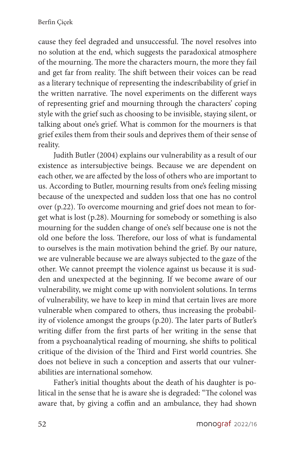cause they feel degraded and unsuccessful. The novel resolves into no solution at the end, which suggests the paradoxical atmosphere of the mourning. The more the characters mourn, the more they fail and get far from reality. The shift between their voices can be read as a literary technique of representing the indescribability of grief in the written narrative. The novel experiments on the different ways of representing grief and mourning through the characters' coping style with the grief such as choosing to be invisible, staying silent, or talking about one's grief. What is common for the mourners is that grief exiles them from their souls and deprives them of their sense of reality.

Judith Butler (2004) explains our vulnerability as a result of our existence as intersubjective beings. Because we are dependent on each other, we are affected by the loss of others who are important to us. According to Butler, mourning results from one's feeling missing because of the unexpected and sudden loss that one has no control over (p.22). To overcome mourning and grief does not mean to forget what is lost (p.28). Mourning for somebody or something is also mourning for the sudden change of one's self because one is not the old one before the loss. Therefore, our loss of what is fundamental to ourselves is the main motivation behind the grief. By our nature, we are vulnerable because we are always subjected to the gaze of the other. We cannot preempt the violence against us because it is sudden and unexpected at the beginning. If we become aware of our vulnerability, we might come up with nonviolent solutions. In terms of vulnerability, we have to keep in mind that certain lives are more vulnerable when compared to others, thus increasing the probability of violence amongst the groups (p.20). The later parts of Butler's writing differ from the first parts of her writing in the sense that from a psychoanalytical reading of mourning, she shifts to political critique of the division of the Third and First world countries. She does not believe in such a conception and asserts that our vulnerabilities are international somehow.

Father's initial thoughts about the death of his daughter is political in the sense that he is aware she is degraded: "The colonel was aware that, by giving a coffin and an ambulance, they had shown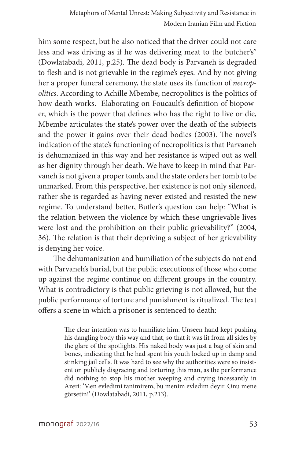him some respect, but he also noticed that the driver could not care less and was driving as if he was delivering meat to the butcher's" (Dowlatabadi, 2011, p.25). The dead body is Parvaneh is degraded to flesh and is not grievable in the regime's eyes. And by not giving her a proper funeral ceremony, the state uses its function of *necropolitics*. According to Achille Mbembe, necropolitics is the politics of how death works. Elaborating on Foucault's definition of biopower, which is the power that defines who has the right to live or die, Mbembe articulates the state's power over the death of the subjects and the power it gains over their dead bodies (2003). The novel's indication of the state's functioning of necropolitics is that Parvaneh is dehumanized in this way and her resistance is wiped out as well as her dignity through her death. We have to keep in mind that Parvaneh is not given a proper tomb, and the state orders her tomb to be unmarked. From this perspective, her existence is not only silenced, rather she is regarded as having never existed and resisted the new regime. To understand better, Butler's question can help: "What is the relation between the violence by which these ungrievable lives were lost and the prohibition on their public grievability?" (2004, 36). The relation is that their depriving a subject of her grievability is denying her voice.

The dehumanization and humiliation of the subjects do not end with Parvaneh's burial, but the public executions of those who come up against the regime continue on different groups in the country. What is contradictory is that public grieving is not allowed, but the public performance of torture and punishment is ritualized. The text offers a scene in which a prisoner is sentenced to death:

> The clear intention was to humiliate him. Unseen hand kept pushing his dangling body this way and that, so that it was lit from all sides by the glare of the spotlights. His naked body was just a bag of skin and bones, indicating that he had spent his youth locked up in damp and stinking jail cells. It was hard to see why the authorities were so insistent on publicly disgracing and torturing this man, as the performance did nothing to stop his mother weeping and crying incessantly in Azeri: 'Men evledimi tanimirem, bu menim evledim deyir. Onu mene görsetin!' (Dowlatabadi, 2011, p.213).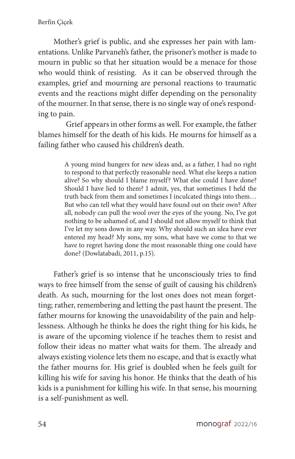Mother's grief is public, and she expresses her pain with lamentations. Unlike Parvaneh's father, the prisoner's mother is made to mourn in public so that her situation would be a menace for those who would think of resisting. As it can be observed through the examples, grief and mourning are personal reactions to traumatic events and the reactions might differ depending on the personality of the mourner. In that sense, there is no single way of one's responding to pain.

Grief appears in other forms as well. For example, the father blames himself for the death of his kids. He mourns for himself as a failing father who caused his children's death.

> A young mind hungers for new ideas and, as a father, I had no right to respond to that perfectly reasonable need. What else keeps a nation alive? So why should I blame myself? What else could I have done? Should I have lied to them? I admit, yes, that sometimes I held the truth back from them and sometimes I inculcated things into them… But who can tell what they would have found out on their own? After all, nobody can pull the wool over the eyes of the young. No, I've got nothing to be ashamed of, and I should not allow myself to think that I've let my sons down in any way. Why should such an idea have ever entered my head? My sons, my sons, what have we come to that we have to regret having done the most reasonable thing one could have done? (Dowlatabadi, 2011, p.15).

Father's grief is so intense that he unconsciously tries to find ways to free himself from the sense of guilt of causing his children's death. As such, mourning for the lost ones does not mean forgetting; rather, remembering and letting the past haunt the present. The father mourns for knowing the unavoidability of the pain and helplessness. Although he thinks he does the right thing for his kids, he is aware of the upcoming violence if he teaches them to resist and follow their ideas no matter what waits for them. The already and always existing violence lets them no escape, and that is exactly what the father mourns for. His grief is doubled when he feels guilt for killing his wife for saving his honor. He thinks that the death of his kids is a punishment for killing his wife. In that sense, his mourning is a self-punishment as well.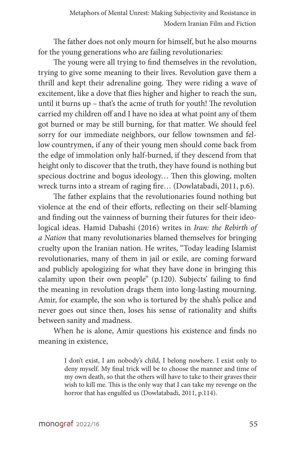The father does not only mourn for himself, but he also mourns for the young generations who are failing revolutionaries:

The young were all trying to find themselves in the revolution, trying to give some meaning to their lives. Revolution gave them a thrill and kept their adrenaline going. They were riding a wave of excitement, like a dove that flies higher and higher to reach the sun, until it burns up – that's the acme of truth for youth! The revolution carried my children off and I have no idea at what point any of them got burned or may be still burning, for that matter. We should feel sorry for our immediate neighbors, our fellow townsmen and fellow countrymen, if any of their young men should come back from the edge of immolation only half-burned, if they descend from that height only to discover that the truth, they have found is nothing but specious doctrine and bogus ideology… Then this glowing, molten wreck turns into a stream of raging fire… (Dowlatabadi, 2011, p.6).

The father explains that the revolutionaries found nothing but violence at the end of their efforts, reflecting on their self-blaming and finding out the vainness of burning their futures for their ideological ideas. Hamid Dabashi (2016) writes in *Iran: the Rebirth of a Nation* that many revolutionaries blamed themselves for bringing cruelty upon the Iranian nation. He writes, "Today leading Islamist revolutionaries, many of them in jail or exile, are coming forward and publicly apologizing for what they have done in bringing this calamity upon their own people" (p.120). Subjects' failing to find the meaning in revolution drags them into long-lasting mourning. Amir, for example, the son who is tortured by the shah's police and never goes out since then, loses his sense of rationality and shifts between sanity and madness.

When he is alone, Amir questions his existence and finds no meaning in existence,

> I don't exist, I am nobody's child, I belong nowhere. I exist only to deny myself. My final trick will be to choose the manner and time of my own death, so that the others will have to take to their graves their wish to kill me. This is the only way that I can take my revenge on the horror that has engulfed us (Dowlatabadi, 2011, p.114).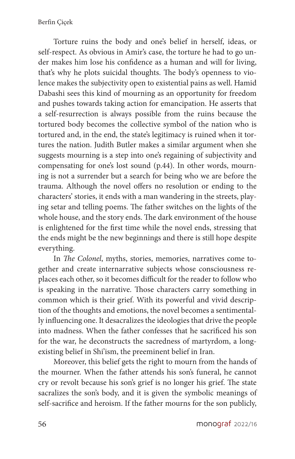Torture ruins the body and one's belief in herself, ideas, or self-respect. As obvious in Amir's case, the torture he had to go under makes him lose his confidence as a human and will for living, that's why he plots suicidal thoughts. The body's openness to violence makes the subjectivity open to existential pains as well. Hamid Dabashi sees this kind of mourning as an opportunity for freedom and pushes towards taking action for emancipation. He asserts that a self-resurrection is always possible from the ruins because the tortured body becomes the collective symbol of the nation who is tortured and, in the end, the state's legitimacy is ruined when it tortures the nation. Judith Butler makes a similar argument when she suggests mourning is a step into one's regaining of subjectivity and compensating for one's lost sound (p.44). In other words, mourning is not a surrender but a search for being who we are before the trauma. Although the novel offers no resolution or ending to the characters' stories, it ends with a man wandering in the streets, playing setar and telling poems. The father switches on the lights of the whole house, and the story ends. The dark environment of the house is enlightened for the first time while the novel ends, stressing that the ends might be the new beginnings and there is still hope despite everything.

In *The Colonel*, myths, stories, memories, narratives come together and create internarrative subjects whose consciousness replaces each other, so it becomes difficult for the reader to follow who is speaking in the narrative. Those characters carry something in common which is their grief. With its powerful and vivid description of the thoughts and emotions, the novel becomes a sentimentally influencing one. It desacralizes the ideologies that drive the people into madness. When the father confesses that he sacrificed his son for the war, he deconstructs the sacredness of martyrdom, a longexisting belief in Shi'ism, the preeminent belief in Iran.

Moreover, this belief gets the right to mourn from the hands of the mourner. When the father attends his son's funeral, he cannot cry or revolt because his son's grief is no longer his grief. The state sacralizes the son's body, and it is given the symbolic meanings of self-sacrifice and heroism. If the father mourns for the son publicly,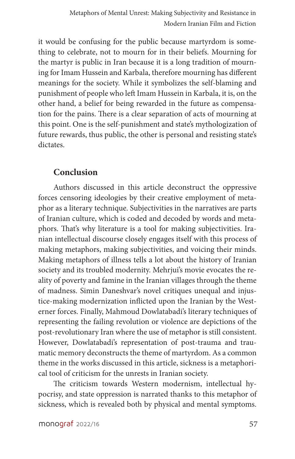it would be confusing for the public because martyrdom is something to celebrate, not to mourn for in their beliefs. Mourning for the martyr is public in Iran because it is a long tradition of mourning for Imam Hussein and Karbala, therefore mourning has different meanings for the society. While it symbolizes the self-blaming and punishment of people who left Imam Hussein in Karbala, it is, on the other hand, a belief for being rewarded in the future as compensation for the pains. There is a clear separation of acts of mourning at this point. One is the self-punishment and state's mythologization of future rewards, thus public, the other is personal and resisting state's dictates.

#### **Conclusion**

Authors discussed in this article deconstruct the oppressive forces censoring ideologies by their creative employment of metaphor as a literary technique. Subjectivities in the narratives are parts of Iranian culture, which is coded and decoded by words and metaphors. That's why literature is a tool for making subjectivities. Iranian intellectual discourse closely engages itself with this process of making metaphors, making subjectivities, and voicing their minds. Making metaphors of illness tells a lot about the history of Iranian society and its troubled modernity. Mehrjui's movie evocates the reality of poverty and famine in the Iranian villages through the theme of madness. Simin Daneshvar's novel critiques unequal and injustice-making modernization inflicted upon the Iranian by the Westerner forces. Finally, Mahmoud Dowlatabadi's literary techniques of representing the failing revolution or violence are depictions of the post-revolutionary Iran where the use of metaphor is still consistent. However, Dowlatabadi's representation of post-trauma and traumatic memory deconstructs the theme of martyrdom. As a common theme in the works discussed in this article, sickness is a metaphorical tool of criticism for the unrests in Iranian society.

The criticism towards Western modernism, intellectual hypocrisy, and state oppression is narrated thanks to this metaphor of sickness, which is revealed both by physical and mental symptoms.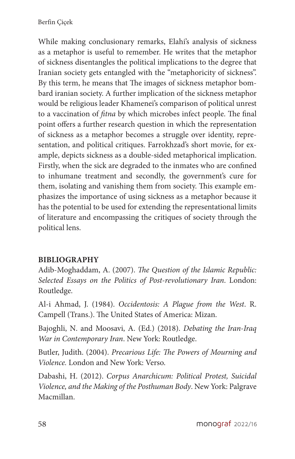While making conclusionary remarks, Elahi's analysis of sickness as a metaphor is useful to remember. He writes that the metaphor of sickness disentangles the political implications to the degree that Iranian society gets entangled with the "metaphoricity of sickness". By this term, he means that The images of sickness metaphor bombard iranian society. A further implication of the sickness metaphor would be religious leader Khamenei's comparison of political unrest to a vaccination of *fitna* by which microbes infect people. The final point offers a further research question in which the representation of sickness as a metaphor becomes a struggle over identity, representation, and political critiques. Farrokhzad's short movie, for example, depicts sickness as a double-sided metaphorical implication. Firstly, when the sick are degraded to the inmates who are confined to inhumane treatment and secondly, the government's cure for them, isolating and vanishing them from society. This example emphasizes the importance of using sickness as a metaphor because it has the potential to be used for extending the representational limits of literature and encompassing the critiques of society through the political lens.

#### **BIBLIOGRAPHY**

Adib-Moghaddam, A. (2007). *The Question of the Islamic Republic: Selected Essays on the Politics of Post-revolutionary Iran*. London: Routledge.

Al-i Ahmad, J. (1984). *Occidentosis: A Plague from the West*. R. Campell (Trans.). The United States of America: Mizan.

Bajoghli, N. and Moosavi, A. (Ed.) (2018). *Debating the Iran-Iraq War in Contemporary Iran*. New York: Routledge.

Butler, Judith. (2004). *Precarious Life: The Powers of Mourning and Violence.* London and New York: Verso.

Dabashi, H. (2012). *Corpus Anarchicum: Political Protest, Suicidal Violence, and the Making of the Posthuman Body*. New York: Palgrave Macmillan.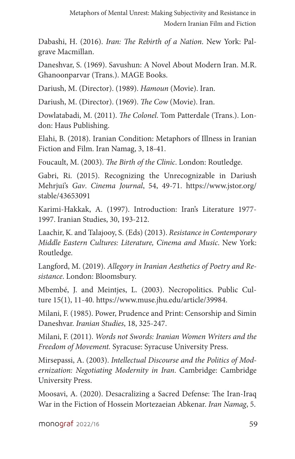Dabashi, H. (2016). *Iran: The Rebirth of a Nation*. New York: Palgrave Macmillan.

Daneshvar, S. (1969). Savushun: A Novel About Modern Iran. M.R. Ghanoonparvar (Trans.). MAGE Books.

Dariush, M. (Director). (1989). *Hamoun* (Movie). Iran.

Dariush, M. (Director). (1969). *The Cow* (Movie). Iran.

Dowlatabadi, M. (2011). *The Colonel*. Tom Patterdale (Trans.). London: Haus Publishing.

Elahi, B. (2018). Iranian Condition: Metaphors of Illness in Iranian Fiction and Film. Iran Namag, 3, 18-41.

Foucault, M. (2003). *The Birth of the Clinic*. London: Routledge.

Gabri, Ri. (2015). Recognizing the Unrecognizable in Dariush Mehrjui's *Gav*. *Cinema Journal*, 54, 49-71. https://www.jstor.org/ stable/43653091

Karimi-Hakkak, A. (1997). Introduction: Iran's Literature 1977- 1997. Iranian Studies, 30, 193-212.

Laachir, K. and Talajooy, S. (Eds) (2013). *Resistance in Contemporary Middle Eastern Cultures: Literature, Cinema and Music*. New York: Routledge.

Langford, M. (2019). *Allegory in Iranian Aesthetics of Poetry and Resistance*. London: Bloomsbury.

Mbembé, J. and Meintjes, L. (2003). Necropolitics. Public Culture 15(1), 11-40. https://www.muse.jhu.edu/article/39984.

Milani, F. (1985). Power, Prudence and Print: Censorship and Simin Daneshvar. *Iranian Studies*, 18, 325-247.

Milani, F. (2011). *Words not Swords: Iranian Women Writers and the Freedom of Movement.* Syracuse: Syracuse University Press.

Mirsepassi, A. (2003). *Intellectual Discourse and the Politics of Modernization: Negotiating Modernity in Iran*. Cambridge: Cambridge University Press.

Moosavi, A. (2020). Desacralizing a Sacred Defense: The Iran-Iraq War in the Fiction of Hossein Mortezaeian Abkenar. *Iran Namag*, 5.